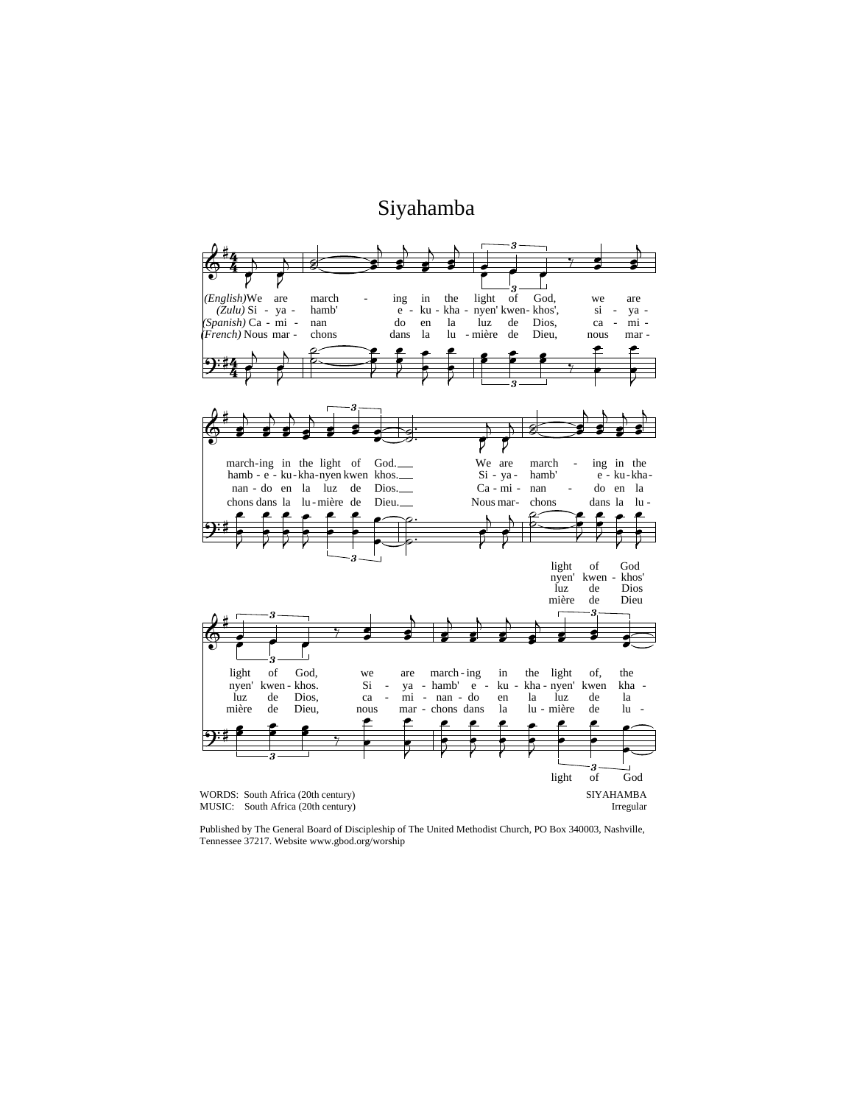## Siyahamba



Published by The General Board of Discipleship of The United Methodist Church, PO Box 340003, Nashville, Tennessee 37217. Website www.gbod.org/worship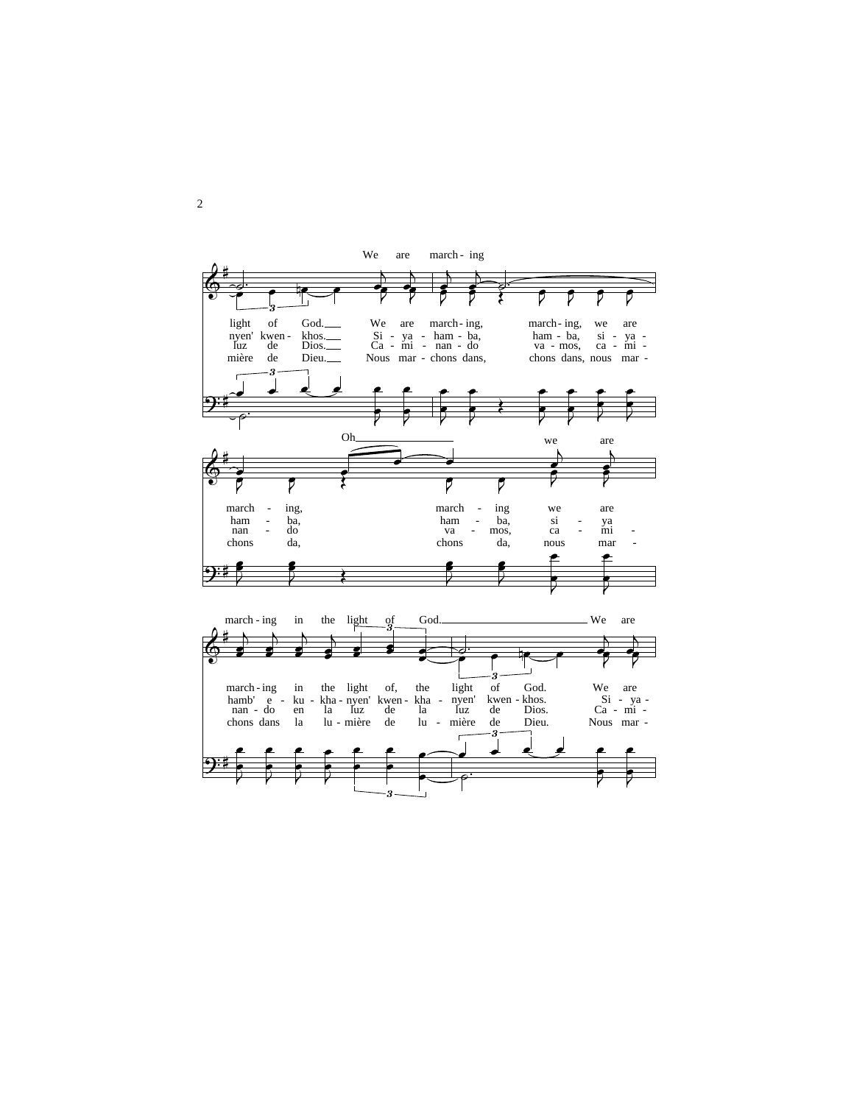

2